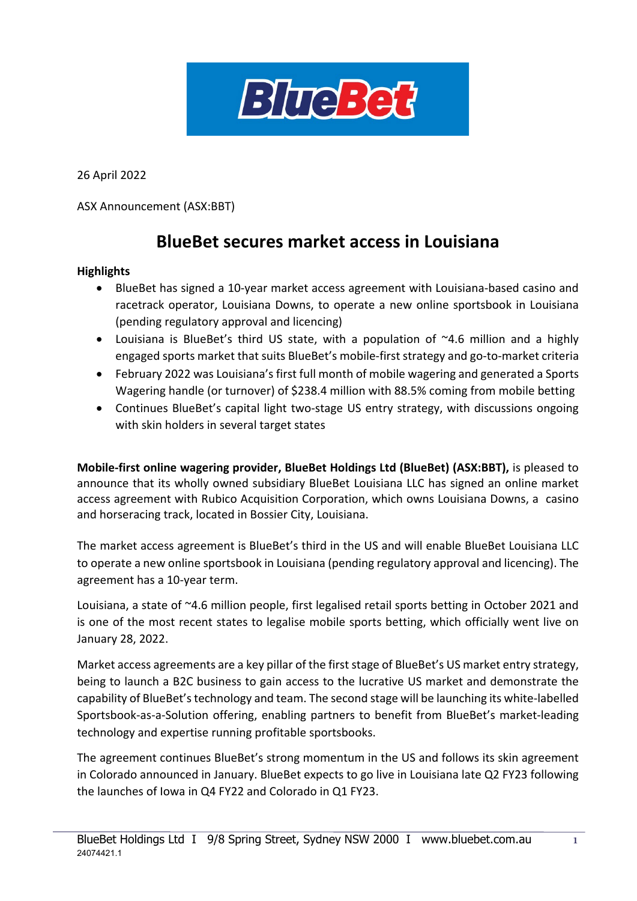

26 April 2022

ASX Announcement (ASX:BBT)

# **BlueBet secures market access in Louisiana**

#### **Highlights**

- BlueBet has signed a 10-year market access agreement with Louisiana-based casino and racetrack operator, Louisiana Downs, to operate a new online sportsbook in Louisiana (pending regulatory approval and licencing)
- Louisiana is BlueBet's third US state, with a population of  $\sim$ 4.6 million and a highly engaged sports market that suits BlueBet's mobile-first strategy and go-to-market criteria
- February 2022 was Louisiana's first full month of mobile wagering and generated a Sports Wagering handle (or turnover) of \$238.4 million with 88.5% coming from mobile betting
- Continues BlueBet's capital light two-stage US entry strategy, with discussions ongoing with skin holders in several target states

**Mobile-first online wagering provider, BlueBet Holdings Ltd (BlueBet) (ASX:BBT),** is pleased to announce that its wholly owned subsidiary BlueBet Louisiana LLC has signed an online market access agreement with Rubico Acquisition Corporation, which owns Louisiana Downs, a casino and horseracing track, located in Bossier City, Louisiana.

The market access agreement is BlueBet's third in the US and will enable BlueBet Louisiana LLC to operate a new online sportsbook in Louisiana (pending regulatory approval and licencing). The agreement has a 10-year term.

Louisiana, a state of ~4.6 million people, first legalised retail sports betting in October 2021 and is one of the most recent states to legalise mobile sports betting, which officially went live on January 28, 2022.

Market access agreements are a key pillar of the first stage of BlueBet's US market entry strategy, being to launch a B2C business to gain access to the lucrative US market and demonstrate the capability of BlueBet's technology and team. The second stage will be launching its white-labelled Sportsbook-as-a-Solution offering, enabling partners to benefit from BlueBet's market-leading technology and expertise running profitable sportsbooks.

The agreement continues BlueBet's strong momentum in the US and follows its skin agreement in Colorado announced in January. BlueBet expects to go live in Louisiana late Q2 FY23 following the launches of Iowa in Q4 FY22 and Colorado in Q1 FY23.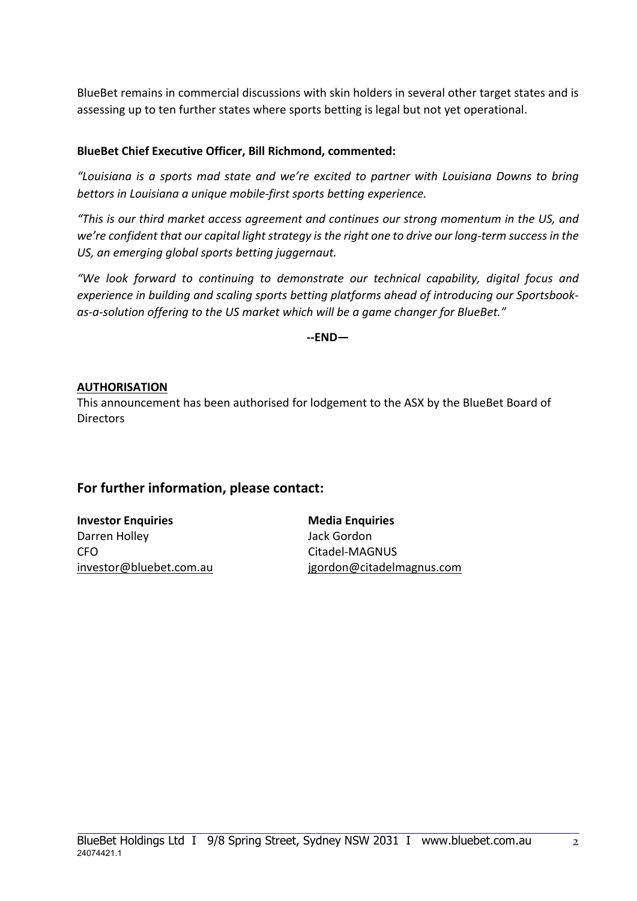BlueBet remains in commercial discussions with skin holders in several other target states and is assessing up to ten further states where sports betting is legal but not yet operational.

#### **BlueBet Chief Executive Officer, Bill Richmond, commented:**

*"Louisiana is a sports mad state and we're excited to partner with Louisiana Downs to bring bettors in Louisiana a unique mobile-first sports betting experience.*

*"This is our third market access agreement and continues our strong momentum in the US, and we're confident that our capital light strategy is the right one to drive our long-term success in the US, an emerging global sports betting juggernaut.*

*"We look forward to continuing to demonstrate our technical capability, digital focus and experience in building and scaling sports betting platforms ahead of introducing our Sportsbookas-a-solution offering to the US market which will be a game changer for BlueBet."*

**--END—** 

#### **AUTHORISATION**

This announcement has been authorised for lodgement to the ASX by the BlueBet Board of **Directors** 

### **For further information, please contact:**

**Investor Enquiries Media Enquiries** Darren Holley **Jack Gordon** CFO Citadel-MAGNUS

[investor@bluebet.com.au](mailto:Billr@bluebet.com.au) [jgordon@citadelmagnus.com](mailto:jgordon@citadelmagnus.com)